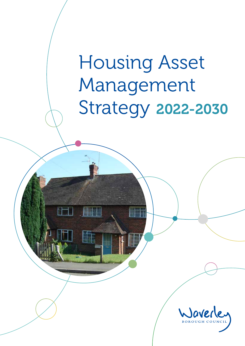# Housing Asset Management Strategy 2022-2030

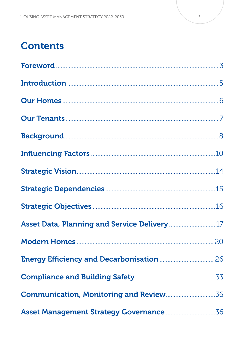### **Contents**

| Asset Data, Planning and Service Delivery  17 |  |
|-----------------------------------------------|--|
|                                               |  |
|                                               |  |
|                                               |  |
|                                               |  |
|                                               |  |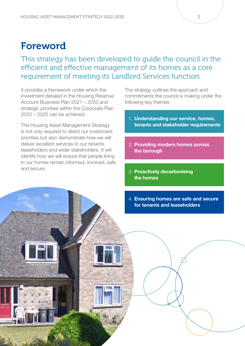### Foreword

This strategy has been developed to guide the council in the efficient and effective management of its homes as a core requirement of meeting its Landlord Services function.

It provides a framework under which the investment detailed in the Housing Revenue Account Business Plan 2021 – 2050 and strategic priorities within the Corporate Plan 2020 – 2025 can be achieved.

The Housing Asset Management Strategy is not only required to direct our investment priorities but also demonstrate how we will deliver excellent services to our tenants, leaseholders and wider stakeholders. It will identify how we will ensure that people living in our homes remain informed, involved, safe and secure.

The strategy outlines the approach and commitments the council is making under the following key themes:

- 1. Understanding our service, homes, tenants and stakeholder requirements
- 2. Providing modern homes across the borough
- 3. Proactively decarbonising the homes
- 4. Ensuring homes are safe and secure for tenants and leaseholders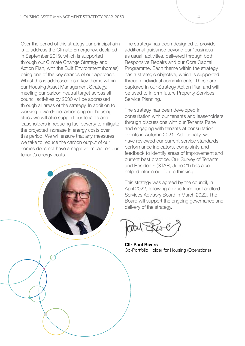Over the period of this strategy our principal aim is to address the Climate Emergency, declared in September 2019, which is supported through our Climate Change Strategy and Action Plan, with the Built Environment (homes) being one of the key strands of our approach. Whilst this is addressed as a key theme within our Housing Asset Management Strategy, meeting our carbon neutral target across all council activities by 2030 will be addressed through all areas of the strategy. In addition to working towards decarbonising our housing stock we will also support our tenants and leaseholders in reducing fuel poverty to mitigate the projected increase in energy costs over this period. We will ensure that any measures we take to reduce the carbon output of our homes does not have a negative impact on our tenant's energy costs.

The strategy has been designed to provide additional guidance beyond our 'business as usual' activities, delivered through both Responsive Repairs and our Core Capital Programme. Each theme within the strategy has a strategic objective, which is supported through individual commitments. These are captured in our Strategy Action Plan and will be used to inform future Property Services Service Planning.

The strategy has been developed in consultation with our tenants and leaseholders through discussions with our Tenants Panel and engaging with tenants at consultation events in Autumn 2021. Additionally, we have reviewed our current service standards, performance indicators, complaints and feedback to identify areas of improvement and current best practice. Our Survey of Tenants and Residents (STAR, June 21) has also helped inform our future thinking.

This strategy was agreed by the council, in April 2022, following advice from our Landlord Services Advisory Board in March 2022. The Board will support the ongoing governance and delivery of the strategy.

Cllr Paul Rivers Co-Portfolio Holder for Housing (Operations)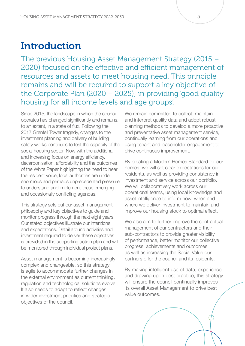### **Introduction**

The previous Housing Asset Management Strategy (2015 – 2020) focused on the effective and efficient management of resources and assets to meet housing need. This principle remains and will be required to support a key objective of the Corporate Plan (2020 – 2025); in providing 'good quality housing for all income levels and age groups'.

Since 2015, the landscape in which the council operates has changed significantly and remains, to an extent, in a state of flux. Following the 2017 Grenfell Tower tragedy, changes to the investment planning and delivery of building safety works continues to test the capacity of the social housing sector. Now with the additional and increasing focus on energy efficiency, decarbonisation, affordability and the outcomes of the White Paper highlighting the need to hear the resident voice, local authorities are under enormous and perhaps unprecedented pressure to understand and implement these emerging and occasionally conflicting agendas.

This strategy sets out our asset management philosophy and key objectives to guide and monitor progress through the next eight years. Our stated objectives illustrate our intentions and expectations. Detail around activities and investment required to deliver these objectives is provided in the supporting action plan and will be monitored through individual project plans.

Asset management is becoming increasingly complex and changeable, so this strategy is agile to accommodate further changes in the external environment as current thinking, regulation and technological solutions evolve. It also needs to adapt to reflect changes in wider investment priorities and strategic objectives of the council.

We remain committed to collect, maintain and interpret quality data and adopt robust planning methods to develop a more proactive and preventative asset management service, continually learning from our operations and using tenant and leaseholder engagement to drive continuous improvement.

By creating a Modern Homes Standard for our homes, we will set clear expectations for our residents, as well as providing consistency in investment and service across our portfolio. We will collaboratively work across our operational teams, using local knowledge and asset intelligence to inform how, when and where we deliver investment to maintain and improve our housing stock to optimal effect.

We also aim to further improve the contractual management of our contractors and their sub-contractors to provide greater visibility of performance, better monitor our collective progress, achievements and outcomes, as well as increasing the Social Value our partners offer the council and its residents.

By making intelligent use of data, experience and drawing upon best practice, this strategy will ensure the council continually improves its overall Asset Management to drive best value outcomes.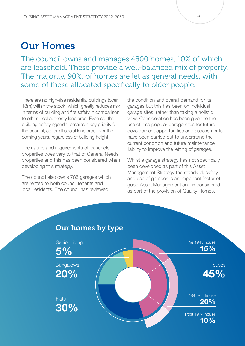### Our Homes

The council owns and manages 4800 homes, 10% of which are leasehold. These provide a well-balanced mix of property. The majority, 90%, of homes are let as general needs, with some of these allocated specifically to older people.

There are no high-rise residential buildings (over 18m) within the stock, which greatly reduces risk in terms of building and fire safety in comparison to other local authority landlords. Even so, the building safety agenda remains a key priority for the council, as for all social landlords over the coming years, regardless of building height.

The nature and requirements of leasehold properties does vary to that of General Needs properties and this has been considered when developing this strategy.

The council also owns 785 garages which are rented to both council tenants and local residents. The council has reviewed

the condition and overall demand for its garages but this has been on individual garage sites, rather than taking a holistic view. Consideration has been given to the use of less popular garage sites for future development opportunities and assessments have been carried out to understand the current condition and future maintenance liability to improve the letting of garages.

Whilst a garage strategy has not specifically been developed as part of this Asset Management Strategy the standard, safety and use of garages is an important factor of good Asset Management and is considered as part of the provision of Quality Homes.

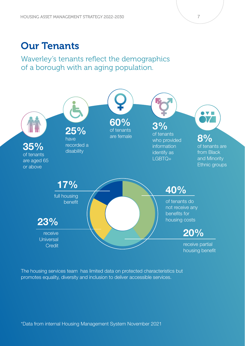### Our Tenants

Waverley's tenants reflect the demographics of a borough with an aging population.



The housing services team has limited data on protected characteristics but promotes equality, diversity and inclusion to deliver accessible services.

\*Data from internal Housing Management System November 2021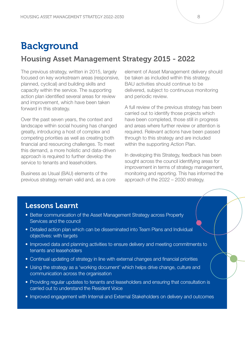### **Background**

#### Housing Asset Management Strategy 2015 - 2022

The previous strategy, written in 2015, largely focused on key workstream areas (responsive, planned, cyclical) and building skills and capacity within the service. The supporting action plan identified several areas for review and improvement, which have been taken forward in this strategy.

Over the past seven years, the context and landscape within social housing has changed greatly, introducing a host of complex and competing priorities as well as creating both financial and resourcing challenges. To meet this demand, a more holistic and data-driven approach is required to further develop the service to tenants and leaseholders.

Business as Usual (BAU) elements of the previous strategy remain valid and, as a core

element of Asset Management delivery should be taken as included within this strategy. BAU activities should continue to be delivered, subject to continuous monitoring and periodic review.

A full review of the previous strategy has been carried out to identify those projects which have been completed, those still in progress and areas where further review or attention is required. Relevant actions have been passed through to this strategy and are included within the supporting Action Plan.

In developing this Strategy, feedback has been sought across the council identifying areas for improvement in terms of strategy management, monitoring and reporting. This has informed the approach of the 2022 – 2030 strategy.

#### Lessons Learnt

- Better communication of the Asset Management Strategy across Property Services and the council
- Detailed action plan which can be disseminated into Team Plans and Individual objectives: with targets
- Improved data and planning activities to ensure delivery and meeting commitments to tenants and leaseholders
- Continual updating of strategy in line with external changes and financial priorities
- Using the strategy as a 'working document' which helps drive change, culture and communication across the organisation
- Providing regular updates to tenants and leaseholders and ensuring that consultation is carried out to understand the Resident Voice
- Improved engagement with Internal and External Stakeholders on delivery and outcomes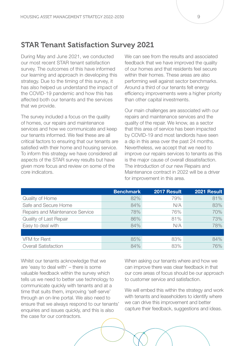#### STAR Tenant Satisfaction Survey 2021

During May and June 2021, we conducted our most recent STAR tenant satisfaction survey. The outcomes of this have informed our learning and approach in developing this strategy. Due to the timing of this survey, it has also helped us understand the impact of the COVID-19 pandemic and how this has affected both our tenants and the services that we provide.

The survey included a focus on the quality of homes, our repairs and maintenance services and how we communicate and keep our tenants informed. We feel these are all critical factors to ensuring that our tenants are satisfied with their home and housing service. To inform this strategy we have considered all aspects of the STAR survey results but have given more focus and review on some of the core indicators.

We can see from the results and associated feedback that we have improved the quality of our homes and that residents feel secure within their homes. These areas are also performing well against sector benchmarks. Around a third of our tenants felt energy efficiency improvements were a higher priority than other capital investments.

Our main challenges are associated with our repairs and maintenance services and the quality of the repair. We know, as a sector that this area of service has been impacted by COVID-19 and most landlords have seen a dip in this area over the past 24 months. Nevertheless, we accept that we need to improve our repairs services to tenants as this is the major cause of overall dissatisfaction. The introduction of our new Repairs and Maintenance contract in 2022 will be a driver for improvement in this area.

|                                 | <b>Benchmark</b> | 2017 Result | 2021 Result |
|---------------------------------|------------------|-------------|-------------|
| Quality of Home                 | 82%              | 79%         | 81%         |
| Safe and Secure Home            | 84%              | N/A         | 83%         |
| Repairs and Maintenance Service | 78%              | 76%         | 70%         |
| Quality of Last Repair          | 86%              | 81%         | 73%         |
| Easy to deal with               | 84%              | N/A         | 78%         |
|                                 |                  |             |             |
| VFM for Rent                    | 85%              | 83%         | 84%         |
| <b>Overall Satisfaction</b>     | 84%              | 83%         | 76%         |

Whilst our tenants acknowledge that we are 'easy to deal with' – there is some valuable feedback within the survey which tells us we need to better use technology to communicate quickly with tenants and at a time that suits them, improving 'self-serve' through an on-line portal. We also need to ensure that we always respond to our tenants' enquiries and issues quickly, and this is also the case for our contractors.

When asking our tenants where and how we can improve there was clear feedback in that our core areas of focus should be our approach to customer service and satisfaction.

We will embed this within the strategy and work with tenants and leaseholders to identify where we can drive this improvement and better capture their feedback, suggestions and ideas.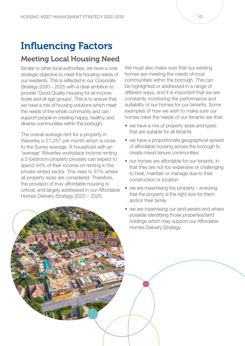## Influencing Factors

#### Meeting Local Housing Need

Similar to other local authorities, we have a core strategic objective to meet the housing needs of our residents. This is reflected in our Corporate Strategy 2020 – 2025 with a clear ambition to provide 'Good Quality Housing for all income levels and all age groups'. This is to ensure that we have a mix of housing solutions which meet the needs of the whole community and can support people in creating happy, healthy, and diverse communities within the borough.

The overall average rent for a property in Waverley is £1,257 per month which is close to the Surrey average. A household with an 'average' Waverley workplace income renting a 2-bedroom property privately can expect to spend 44% of their income on renting in the private rented sector. This rises to 57% where all property sizes are considered. Therefore, the provision of truly affordable housing is critical; and largely addressed in our Affordable Homes Delivery Strategy 2022 – 2025.

We must also make sure that our existing homes are meeting the needs of local communities within the borough. This can be highlighted or addressed in a range of different ways, and it is important that we are constantly monitoring the performance and suitability of our homes for our tenants. Some examples of how we wish to make sure our homes meet the needs of our tenants are that:

- we have a mix of property sizes and types that are suitable for all tenants
- we have a proportionate geographical spread of affordable housing across the borough to create mixed tenure communities
- our homes are affordable for our tenants, in that they are not too expensive or challenging to heat, maintain or manage due to their construction or location
- we are maximising the property ensuring that the property is the right size for them and/or their family
- we are maximising our land assets and where possible identifying those properties/land holdings which may support our Affordable Homes Delivery Strategy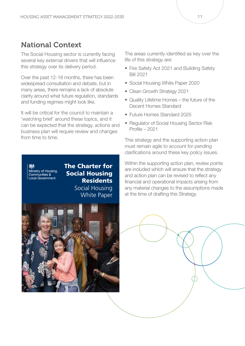#### National Context

The Social Housing sector is currently facing several key external drivers that will influence this strategy over its delivery period.

Over the past 12-18 months, there has been widespread consultation and debate, but in many areas, there remains a lack of absolute clarity around what future regulation, standards and funding regimes might look like.

It will be critical for the council to maintain a 'watching brief' around these topics, and it can be expected that the strategy, actions and business plan will require review and changes from time to time.

The areas currently identified as key over the life of this strategy are:

- Fire Safety Act 2021 and Building Safety Bill 2021
- Social Housing White Paper 2020
- Clean Growth Strategy 2021
- Quality Lifetime Homes the future of the Decent Homes Standard
- Future Homes Standard 2025
- Regulator of Social Housing Sector Risk Profile – 2021

This strategy and the supporting action plan must remain agile to account for pending clarifications around these key policy issues.

Ministry of Housing,<br>Communities &<br>Local Government

The Charter for Social Housing **Residents** Social Housing White Paper



Within the supporting action plan, review points are included which will ensure that the strategy and action plan can be revised to reflect any financial and operational impacts arising from any material changes to the assumptions made at the time of drafting this Strategy.

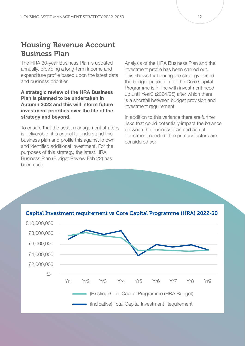#### Housing Revenue Account Business Plan

The HRA 30-year Business Plan is updated annually, providing a long-term income and expenditure profile based upon the latest data and business priorities.

A strategic review of the HRA Business Plan is planned to be undertaken in Autumn 2022 and this will inform future investment priorities over the life of the strategy and beyond.

To ensure that the asset management strategy is deliverable, it is critical to understand this business plan and profile this against known and identified additional investment. For the purposes of this strategy, the latest HRA Business Plan (Budget Review Feb 22) has been used.

Analysis of the HRA Business Plan and the investment profile has been carried out. This shows that during the strategy period the budget projection for the Core Capital Programme is in line with investment need up until Year3 (2024/25) after which there is a shortfall between budget provision and investment requirement.

In addition to this variance there are further risks that could potentially impact the balance between the business plan and actual investment needed. The primary factors are considered as:



Capital Investment requirement vs Core Capital Programme (HRA) 2022-30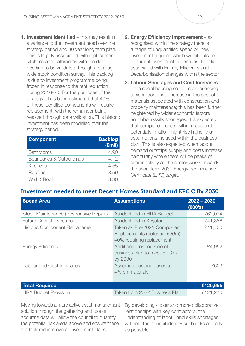1. Investment identified – this may result in a variance to the investment need over the strategy period and 30 year long term plan. This is largely associated with replacement kitchens and bathrooms with the data needing to be validated through a borough wide stock condition survey. This backlog is due to investment programme being frozen in response to the rent reduction during 2016-20. For the purposes of this strategy it has been estimated that 40% of these identified components will require replacement, with the remainder being resolved through data validation. This historic investment has been modelled over the strategy period.

| <b>Component</b>          | <b>Backlog</b><br>(£mil) |
|---------------------------|--------------------------|
| <b>Bathrooms</b>          | 4.90                     |
| Boundaries & Outbuildings | 4.12                     |
| Kitchens                  | 4.55                     |
| Roofline                  | 3.59                     |
| Wall & Roof               | 3.30                     |

- 2. Energy Efficiency Improvement as recognised within the strategy there is a range of unquantified spend or 'new' investment required which will sit outside of current investment projections; largely associated with Energy Efficiency and Decarbonisation changes within the sector.
- 3. Labour Shortages and Cost Increases – the social housing sector is experiencing a disproportionate increase in the cost of materials associated with construction and property maintenance; this has been further heightened by wider economic factors and labour/skills shortages. It is expected that component costs will increase and potentially inflation might rise higher than assumptions included within the business plan. This is also expected when labour demand outstrips supply and costs increase particularly where there will be peaks of similar activity as the sector works towards the short-term 2030 Energy performance Certificate (EPC) target.

#### Investment needed to meet Decent Homes Standard and EPC C By 2030

| <b>Spend Area</b>                      | <b>Assumptions</b>                                                                          | $2022 - 2030$<br>(000's) |
|----------------------------------------|---------------------------------------------------------------------------------------------|--------------------------|
| Stock Maintenance (Responsive Repairs) | As identified in HRA Budget                                                                 | £62,014                  |
| <b>Future Capital Investment</b>       | As identified in Keystone                                                                   | £41,386                  |
| <b>Historic Component Replacement</b>  | Taken as Pre-2021 Component<br>Replacements (potential £26m) -<br>40% requiring replacement | £11,700                  |
| <b>Energy Efficiency</b>               | Additional cost outside of<br>business plan to meet EPC C<br>by 2030                        | £4,952                   |
| Labour and Cost Increases              | Assumed cost increases at<br>4% on materials                                                | £603                     |
|                                        |                                                                                             |                          |
| <b>Total Required</b>                  |                                                                                             | £120,655                 |
| <b>HRA Budget Provision</b>            | Taken from 2022 Business Plan                                                               | £121,270                 |

Moving towards a more active asset management solution through the gathering and use of accurate data will allow the council to quantify the potential risk areas above and ensure these are factored into overall investment plans.

By developing closer and more collaborative relationships with key contractors, the understanding of labour and skills shortages will help the council identify such risks as early as possible.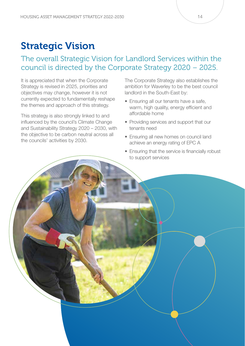### Strategic Vision

#### The overall Strategic Vision for Landlord Services within the council is directed by the Corporate Strategy 2020 – 2025.

It is appreciated that when the Corporate Strategy is revised in 2025, priorities and objectives may change, however it is not currently expected to fundamentally reshape the themes and approach of this strategy.

This strategy is also strongly linked to and influenced by the council's Climate Change and Sustainability Strategy 2020 – 2030, with the objective to be carbon neutral across all the councils' activities by 2030.

The Corporate Strategy also establishes the ambition for Waverley to be the best council landlord in the South-East by:

- Ensuring all our tenants have a safe, warm, high quality, energy efficient and affordable home
- Providing services and support that our tenants need
- Ensuring all new homes on council land achieve an energy rating of EPC A
- Ensuring that the service is financially robust to support services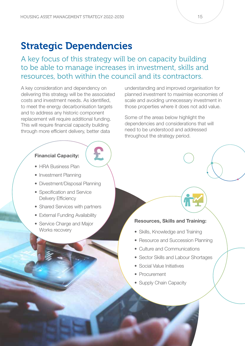### Strategic Dependencies

A key focus of this strategy will be on capacity building to be able to manage increases in investment, skills and resources, both within the council and its contractors.

A key consideration and dependency on delivering this strategy will be the associated costs and investment needs. As identified, to meet the energy decarbonisation targets and to address any historic component replacement will require additional funding. This will require financial capacity building through more efficient delivery, better data

#### Financial Capacity:

- HRA Business Plan
- Investment Planning
- Divestment/Disposal Planning
- Specification and Service Delivery Efficiency
- Shared Services with partners
- External Funding Availability
- Service Charge and Major Works recovery

understanding and improved organisation for planned investment to maximise economies of scale and avoiding unnecessary investment in those properties where it does not add value.

Some of the areas below highlight the dependencies and considerations that will need to be understood and addressed throughout the strategy period.

#### Resources, Skills and Training:

- Skills, Knowledge and Training
- Resource and Succession Planning
- Culture and Communications
- Sector Skills and Labour Shortages
- Social Value Initiatives
- Procurement
- Supply Chain Capacity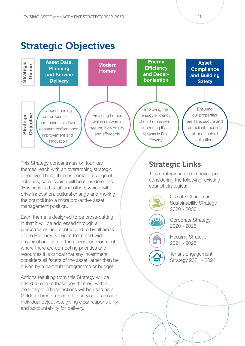### Strategic Objectives



This Strategy concentrates on four key themes, each with an overarching strategic objective. These themes contain a range of activities, some which will be considered as 'Business as Usual' and others which will drive innovation, cultural change and moving the council into a more pro-active asset management position.

Each theme is designed to be cross-cutting, in that it will be addressed through all workstreams and contributed to by all areas of the Property Services team and wider organisation. Due to the current environment where there are competing priorities and resources it is critical that any investment considers all facets of the asset rather than be driven by a particular programme or budget.

Actions resulting from this Strategy will be linked to one of these key themes, with a clear target. These actions will be used as a Golden Thread, reflected in service, team and individual objectives, giving clear responsibility and accountability for delivery.

#### Strategic Links

This strategy has been developed considering the following, existing, council strategies:



 $\bullet$ 

Climate Change and Sustainability Strategy 2020 - 2030

Corporate Strategy 2020 - 2025

Housing Strategy 2021 - 2025

Tenant Engagement Strategy 2021 - 2024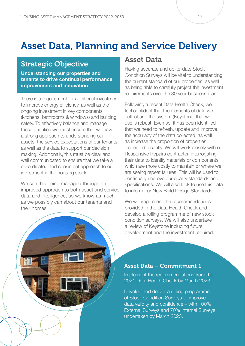### Asset Data, Planning and Service Delivery

#### Strategic Objective

Understanding our properties and tenants to drive continual performance improvement and innovation

There is a requirement for additional investment to improve energy efficiency, as well as the ongoing investment in key components (kitchens, bathrooms & windows) and building safety. To effectively balance and manage these priorities we must ensure that we have a strong approach to understanding our assets, the service expectations of our tenants as well as the data to support our decision making. Additionally, this must be clear and well communicated to ensure that we take a co-ordinated and consistent approach to our investment in the housing stock.

We see this being managed through an improved approach to both asset and service data and intelligence, so we know as much as we possibly can about our tenants and their homes.

#### Asset Data

Having accurate and up-to-date Stock Condition Surveys will be vital to understanding the current standard of our properties, as well as being able to carefully project the investment requirements over the 30 year business plan.

Following a recent Data Health Check, we feel confident that the elements of data we collect and the system (Keystone) that we use is robust. Even so, it has been identified that we need to refresh, update and improve the accuracy of the data collected, as well as increase the proportion of properties inspected recently. We will work closely with our Responsive Repairs contractor, interrogating their data to identify materials or components which are more costly to maintain or where we are seeing repeat failures. This will be used to continually improve our quality standards and specifications. We will also look to use this data to inform our New Build Design Standards.

We will implement the recommendations provided in the Data Health Check and develop a rolling programme of new stock condition surveys. We will also undertake a review of Keystone including future development and the investment required.

#### Asset Data – Commitment 1

Implement the recommendations from the 2021 Data Health Check by March 2023.

Develop and deliver a rolling programme of Stock Condition Surveys to improve data validity and confidence – with 100% External Surveys and 70% Internal Surveys undertaken by March 2023.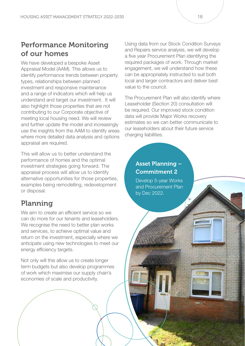#### Performance Monitoring of our homes

We have developed a bespoke Asset Appraisal Model (AAM). This allows us to identify performance trends between property types, relationships between planned investment and responsive maintenance and a range of indicators which will help us understand and target our investment. It will also highlight those properties that are not contributing to our Corporate objective of meeting local housing need. We will review and further update the model and increasingly use the insights from the AAM to identify areas where more detailed data analysis and options appraisal are required.

This will allow us to better understand the performance of homes and the optimal investment strategies going forward. The appraisal process will allow us to identify alternative opportunities for those properties, examples being remodelling, redevelopment or disposal.

### Planning

We aim to create an efficient service so we can do more for our tenants and leaseholders. We recognise the need to better plan works and services, to achieve optimal value and return on the investment, especially where we anticipate using new technologies to meet our energy efficiency targets.

Not only will this allow us to create longer term budgets but also develop programmes of work which maximise our supply chain's economies of scale and productivity.

Using data from our Stock Condition Surveys and Repairs service analysis, we will develop a five year Procurement Plan identifying the required packages of work. Through market engagement, we will understand how these can be appropriately instructed to suit both local and larger contractors and deliver best value to the council.

The Procurement Plan will also identify where Leaseholder (Section 20) consultation will be required. Our improved stock condition data will provide Major Works recovery estimates so we can better communicate to our leaseholders about their future service charging liabilities.

#### Asset Planning – Commitment 2

Develop 5-year Works and Procurement Plan by Dec 2022.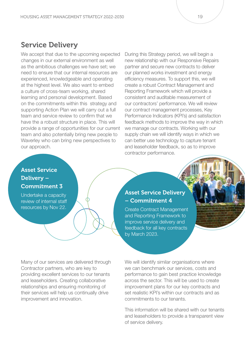#### Service Delivery

We accept that due to the upcoming expected changes in our external environment as well as the ambitious challenges we have set; we need to ensure that our internal resources are experienced, knowledgeable and operating at the highest level. We also want to embed a culture of cross-team working, shared learning and personal development. Based on the commitments within this strategy and supporting Action Plan we will carry out a full team and service review to confirm that we have the a robust structure in place. This will provide a range of opportunities for our current team and also potentially bring new people to Waverley who can bring new perspectives to our approach.

During this Strategy period, we will begin a new relationship with our Responsive Repairs partner and secure new contracts to deliver our planned works investment and energy efficiency measures. To support this, we will create a robust Contract Management and Reporting Framework which will provide a consistent and auditable measurement of our contractors' performance. We will review our contract management processes, Key Performance Indicators (KPI's) and satisfaction feedback methods to improve the way in which we manage our contracts. Working with our supply chain we will identify ways in which we can better use technology to capture tenant and leaseholder feedback, so as to improve contractor performance.

#### Asset Service Delivery – Commitment 3

Undertake a capacity review of internal staff resources by Nov 22.

#### Asset Service Delivery – Commitment 4

Create Contract Management and Reporting Framework to improve service delivery and feedback for all key contracts by March 2023.

Many of our services are delivered through Contractor partners, who are key to providing excellent services to our tenants and leaseholders. Creating collaborative relationships and ensuring monitoring of their services will help us continually drive improvement and innovation.

We will identify similar organisations where we can benchmark our services, costs and performance to gain best practice knowledge across the sector. This will be used to create improvement plans for our key contracts and set realistic KPI's within our contracts and as commitments to our tenants.

This information will be shared with our tenants and leaseholders to provide a transparent view of service delivery.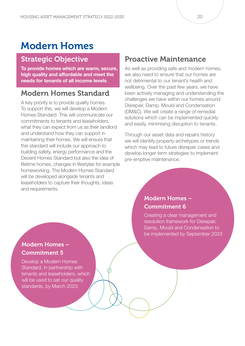### Modern Homes

#### Strategic Objective

To provide homes which are warm, secure, high quality and affordable and meet the needs for tenants of all income levels

#### Modern Homes Standard

A key priority is to provide quality homes. To support this, we will develop a Modern Homes Standard. This will communicate our commitments to tenants and leaseholders, what they can expect from us as their landlord and understand how they can support in maintaining their homes. We will ensure that this standard will include our approach to building safety, energy performance and the Decent Homes Standard but also the idea of lifetime homes, changes in lifestyles for example homeworking. The Modern Homes Standard will be developed alongside tenants and leaseholders to capture their thoughts, ideas and requirements.

#### Proactive Maintenance

As well as providing safe and modern homes, we also need to ensure that our homes are not detrimental to our tenant's health and wellbeing. Over the past few years, we have been actively managing and understanding the challenges we have within our homes around Disrepair, Damp, Mould and Condensation (DM&C). We will create a range of remedial solutions which can be implemented quickly and easily, minimising disruption to tenants.

Through our asset data and repairs history we will identify property archetypes or trends which may lead to future disrepair cases and develop longer term strategies to implement pre-emptive maintenance.

#### Modern Homes – Commitment 6

Creating a clear management and resolution framework for Disrepair, Damp, Mould and Condensation to be implemented by September 2023

#### Modern Homes – Commitment 5

Develop a Modern Homes Standard, in partnership with tenants and leaseholders, which will be used to set our quality standards, by March 2023.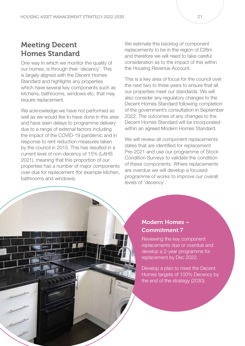#### Meeting Decent Homes Standard

One way in which we monitor the quality of our homes, is through their 'decency'. This is largely aligned with the Decent Homes Standard and highlights any properties which have several key components such as kitchens, bathrooms, windows etc. that may require replacement.

We acknowledge we have not performed as well as we would like to have done in this area and have seen delays to programme delivery due to a range of external factors including the impact of the COVID-19 pandemic and in response to rent reduction measures taken by the council in 2015. This has resulted in a current level of non-decency of 15% (LAHS 2021), meaning that this proportion of our properties has a number of major components over-due for replacement (for example kitchen, bathrooms and windows).

We estimate this backlog of component replacements to be in the region of £26m and therefore we will need to take careful consideration as to the impact of this within the Housing Revenue Account.

This is a key area of focus for the council over the next two to three years to ensure that all our properties meet our standards. We will also consider any regulatory changes to the Decent Homes Standard following completion of the government's consultation in September 2022. The outcomes of any changes to the Decent Homes Standard will be incorporated within an agreed Modern Homes Standard.

We will review all component replacements dates that are identified for replacement Pre-2021 and use our programme of Stock Condition Surveys to validate the condition of these components. Where replacements are overdue we will develop a focused programme of works to improve our overall levels of 'decency'.



#### Modern Homes – Commitment 7

Reviewing the key component replacements due or overdue and develop a 2-year programme for replacement by Dec 2022.

Develop a plan to meet the Decent Homes targets of 100% Decency by the end of the strategy (2030).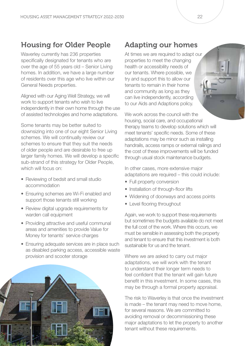#### Housing for Older People

Waverley currently has 236 properties specifically designated for tenants who are over the age of 55 years old – Senior Living homes. In addition, we have a large number of residents over this age who live within our General Needs properties.

Aligned with our Aging Well Strategy, we will work to support tenants who wish to live independently in their own home through the use of assisted technologies and home adaptations.

Some tenants may be better suited to downsizing into one of our eight Senior Living schemes. We will continually review our schemes to ensure that they suit the needs of older people and are desirable to free up larger family homes. We will develop a specific sub-strand of this strategy for Older People, which will focus on:

- Reviewing of bedsit and small studio accommodation
- Ensuring schemes are Wi-Fi enabled and support those tenants still working
- Review digital upgrade requirements for warden call equipment
- Providing attractive and useful communal areas and amenities to provide Value for Money for tenants' service charges
- Ensuring adequate services are in place such as disabled parking access, accessible waste provision and scooter storage



### Adapting our homes

At times we are required to adapt our properties to meet the changing health or accessibility needs of our tenants. Where possible, we try and support this to allow our tenants to remain in their home and community as long as they can live independently, according to our Aids and Adaptions policy.

We work across the council with the housing, social care, and occupational therapy teams to develop solutions which will meet tenants' specific needs. Some of these adaptations may be minor such as installing handrails, access ramps or external railings and the cost of these improvements will be funded through usual stock maintenance budgets.

In other cases, more extensive major adaptations are required – this could include:

- Full property conversion
- Installation of through-floor lifts
- Widening of doorways and access points
- Level flooring throughout

Again, we work to support these requirements but sometimes the budgets available do not meet the full cost of the work. Where this occurs, we must be sensible in assessing both the property and tenant to ensure that this investment is both sustainable for us and the tenant.

Where we are asked to carry out major adaptations, we will work with the tenant to understand their longer term needs to feel confident that the tenant will gain future benefit in this investment. In some cases, this may be through a formal property appraisal.

The risk to Waverley is that once the investment is made – the tenant may need to move home, for several reasons. We are committed to avoiding removal or decommissioning these major adaptations to let the property to another tenant without these requirements.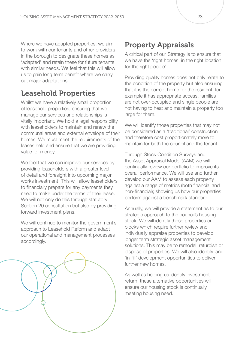Where we have adapted properties, we aim to work with our tenants and other providers in the borough to designate these homes as 'adapted' and retain these for future tenants with similar needs. We feel that this will allow us to gain long term benefit where we carry out major adaptations.

#### Leasehold Properties

Whilst we have a relatively small proportion of leasehold properties, ensuring that we manage our services and relationships is vitally important. We hold a legal responsibility with leaseholders to maintain and renew the communal areas and external envelope of their homes. We must meet the requirements of the leases held and ensure that we are providing value for money.

We feel that we can improve our services by providing leaseholders with a greater level of detail and foresight into upcoming major works investment. This will allow leaseholders to financially prepare for any payments they need to make under the terms of their lease. We will not only do this through statutory Section 20 consultation but also by providing forward investment plans.

We will continue to monitor the government's approach to Leasehold Reform and adapt our operational and management processes accordingly.



#### Property Appraisals

A critical part of our Strategy is to ensure that we have the 'right homes, in the right location, for the right people'.

Providing quality homes does not only relate to the condition of the property but also ensuring that it is the correct home for the resident; for example it has appropriate access, families are not over-occupied and single people are not having to heat and maintain a property too large for them.

We will identify those properties that may not be considered as a 'traditional' construction and therefore cost proportionately more to maintain for both the council and the tenant.

Through Stock Condition Surveys and the Asset Appraisal Model (AAM) we will continually review our portfolio to improve its overall performance. We will use and further develop our AAM to assess each property against a range of metrics (both financial and non-financial); showing us how our properties perform against a benchmark standard.

Annually, we will provide a statement as to our strategic approach to the council's housing stock. We will identify those properties or blocks which require further review and individually appraise properties to develop longer term strategic asset management solutions. This may be to remodel, refurbish or dispose of properties. We will also identify land 'in-fill' development opportunities to deliver further new homes.

As well as helping us identify investment return, these alternative opportunities will ensure our housing stock is continually meeting housing need.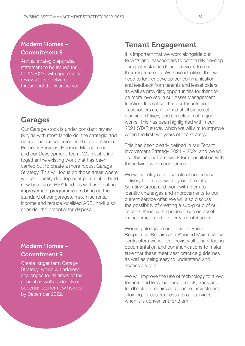#### Modern Homes – Commitment 8

Annual strategic appraisal statement to be issued for 2022/2023; with appraisals/ reviews to be delivered throughout the financial year.

#### Garages

Our Garage stock is under constant review but, as with most landlords, the strategic and operational management is shared between Property Services, Housing Management and our Development Team. We must bring together the existing work that has been carried out to create a more robust Garage Strategy. This will focus on those areas where we can identify development potential to build new homes on HRA land, as well as creating improvement programmes to bring up the standard of our garages, maximise rental income and reduce localised ASB. It will also consider the potential for disposal.

#### Modern Homes – Commitment 9

Create longer term Garage Strategy, which will address challenges for all areas of the council as well as identifying opportunities for new homes by December 2022.

#### Tenant Engagement

It is important that we work alongside our tenants and leaseholders to continually develop our quality standards and services to meet their requirements. We have identified that we need to further develop our communication and feedback from tenants and leaseholders, as well as providing opportunities for them to be more involved in our Asset Management function. It is critical that our tenants and leaseholders are informed at all stages of planning, delivery and completion of major works. This has been highlighted within our 2021 STAR survey which we will aim to improve within the first two years of this strategy.

This has been clearly defined in our Tenant Involvement Strategy 2021 – 2024 and we will use this as our framework for consultation with those living within our homes.

We will identify core aspects of our service delivery to be reviewed by our Tenants Scrutiny Group and work with them to identify challenges and improvements to our current service offer. We will also discuss the possibility of creating a sub-group of our Tenants Panel with specific focus on asset management and property maintenance.

Working alongside our Tenants Panel, Responsive Repairs and Planned Maintenance contractors we will also review all tenant facing documentation and communications to make sure that these meet best practice guidelines as well as being easy to understand and accessible to all.

We will improve the use of technology to allow tenants and leaseholders to book, track and feedback on repairs and planned investment, allowing for easier access to our services when it is convenient for them.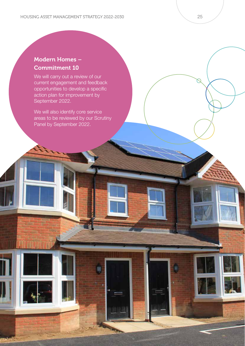#### Modern Homes – Commitment 10

We will carry out a review of our current engagement and feedback opportunities to develop a specific action plan for improvement by September 2022.

We will also identify core service areas to be reviewed by our Scrutiny Panel by September 2022.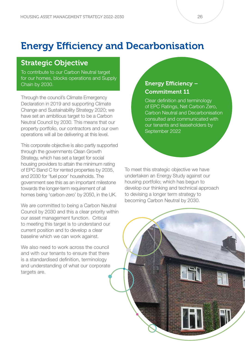## Energy Efficiency and Decarbonisation

#### Strategic Objective

To contribute to our Carbon Neutral target for our homes, blocks operations and Supply Chain by 2030.

Through the council's Climate Emergency Declaration in 2019 and supporting Climate Change and Sustainability Strategy 2020; we have set an ambitious target to be a Carbon Neutral Council by 2030. This means that our property portfolio, our contractors and our own operations will all be delivering at this level.

This corporate objective is also partly supported through the governments Clean Growth Strategy, which has set a target for social housing providers to attain the minimum rating of EPC Band C for rented properties by 2035, and 2030 for 'fuel poor' households. The government see this as an important milestone towards the longer-term requirement of all homes being 'carbon-zero' by 2050, in the UK.

We are committed to being a Carbon Neutral Council by 2030 and this a clear priority within our asset management function. Critical to meeting this target is to understand our current position and to develop a clear baseline which we can work against.

We also need to work across the council and with our tenants to ensure that there is a standardised definition, terminology and understanding of what our corporate targets are.

#### Energy Efficiency – Commitment 11

Clear definition and terminology of EPC Ratings, Net Carbon Zero, Carbon Neutral and Decarbonisation consulted and communicated with our tenants and leaseholders by September 2022

To meet this strategic objective we have undertaken an Energy Study against our housing portfolio; which has begun to develop our thinking and technical approach to devising a longer term strategy to becoming Carbon Neutral by 2030.

**INTERNATIONAL**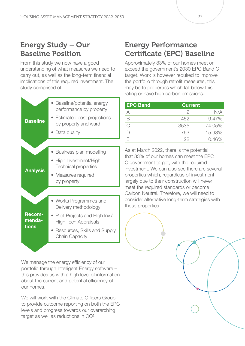#### Energy Study – Our Baseline Position

From this study we now have a good understanding of what measures we need to carry out, as well as the long-term financial implications of this required investment. The study comprised of:



We manage the energy efficiency of our portfolio through Intelligent Energy software – this provides us with a high level of information about the current and potential efficiency of our homes.

We will work with the Climate Officers Group to provide outcome reporting on both the EPC levels and progress towards our overarching target as well as reductions in CO².

#### Energy Performance Certificate (EPC) Baseline

Approximately 83% of our homes meet or exceed the government's 2030 EPC Band C target. Work is however required to improve the portfolio through retrofit measures, this may be to properties which fall below this rating or have high carbon emissions.

| <b>EPC Band</b> |      | <b>Current</b> |
|-----------------|------|----------------|
|                 | 2    | N/A            |
| B               | 452  | 9.47%          |
| C               | 3535 | 74.05%         |
|                 | 763  | 15.98%         |
|                 | 22   | 0.46%          |

As at March 2022, there is the potential that 83% of our homes can meet the EPC C government target, with the required investment. We can also see there are several properties which, regardless of investment, largely due to their construction will never meet the required standards or become Carbon Neutral. Therefore, we will need to consider alternative long-term strategies with these properties.

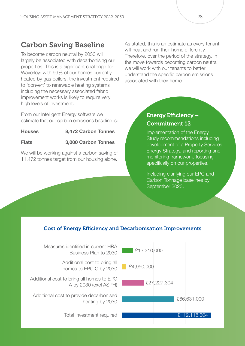#### Carbon Saving Baseline

To become carbon neutral by 2030 will largely be associated with decarbonising our properties. This is a significant challenge for Waverley: with 99% of our homes currently heated by gas boilers, the investment required to 'convert' to renewable heating systems including the necessary associated fabric improvement works is likely to require very high levels of investment.

From our Intelligent Energy software we estimate that our carbon emissions baseline is:

#### Houses 8,472 Carbon Tonnes

Flats 3,000 Carbon Tonnes

We will be working against a carbon saving of 11,472 tonnes target from our housing alone.

As stated, this is an estimate as every tenant will heat and run their home differently. Therefore, over the period of the strategy, in the move towards becoming carbon neutral we will work with our tenants to better understand the specific carbon emissions associated with their home.

#### Energy Efficiency – Commitment 12

Implementation of the Energy Study recommendations including development of a Property Services Energy Strategy, and reporting and monitoring framework, focusing specifically on our properties.

Including clarifying our EPC and Carbon Tonnage baselines by September 2023.

#### Cost of Energy Efficiency and Decarbonisation Improvements

Measures identified in current HRA Business Plan to 2030 **E** £13,310,000

> Additional cost to bring all<br>begans to EBC C by 2020 homes to EPC C by 2030

Additional cost to bring all homes to EPC A by 2030 (excl ASPH)

Additional cost to provide decarbonised heating by 2030

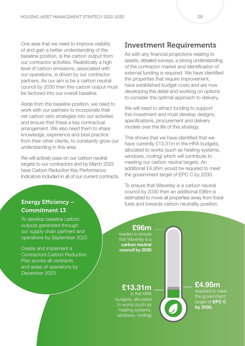One area that we need to improve visibility of and gain a better understanding of the baseline position, is the carbon output from our contractor activities. Realistically a high level of carbon emissions, associated with our operations, is driven by our contractor partners. As our aim is be a carbon neutral council by 2030 then this carbon output must be factored into our overall baseline.

Aside from the baseline position, we need to work with our partners to incorporate their net carbon zero strategies into our activities and ensure that these a key contractual arrangement. We also need them to share knowledge, experience and best practice from their other clients, to constantly grow our understanding in this area.

We will actively pass on our carbon neutral targets to our contractors and by March 2022 have Carbon Reduction Key Performance Indicators included in all of our current contracts.

#### Investment Requirements

As with any financial projections relating to assets, detailed surveys, a strong understanding of the contractor market and identification of external funding is required. We have identified the properties that require improvement, have established budget costs and are now developing the detail and working on options to consider the optimal approach to delivery.

We will need to attract funding to support this investment and must develop designs, specifications, procurement and delivery models over the life of this strategy.

This shows that we have identified that we have currently £13.31m in the HRA budgets. allocated to works (such as heating systems, windows, roofing) which will contribute to meeting our carbon neutral targets. An additional £4.95m would be required to meet the government target of EPC C by 2030.

To ensure that Waverley is a carbon neutral council by 2030 then an additional £96m is estimated to move all properties away from fossil fuels and towards carbon neutrality position.

#### Energy Efficiency – Commitment 13

To develop baseline carbon outputs generated through our supply chain partners and operations by September 2022.

Create and implement a Contractors Carbon Reduction Plan across all contracts and areas of operations by December 2023

#### £13.31m in the HRA budgets, allocated to works (such as heating systems, windows, roofing) £4.95m required to meet the government target of EPC C by 2030. £96m needed to ensure that Waverley is a carbon neutral council by 2030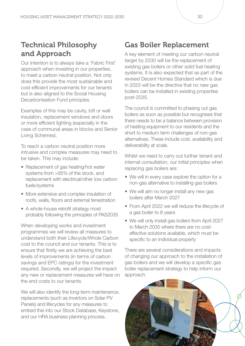#### Technical Philosophy and Approach

Our intention is to always take a 'Fabric First' approach when investing in our properties, to meet a carbon neutral position. Not only does this provide the most sustainable and cost-efficient improvements for our tenants but is also aligned to the Social Housing Decarbonisation Fund principles.

Examples of this may be cavity, loft or wall insulation, replacement windows and doors or more efficient lighting (especially in the case of communal areas in blocks and Senior Living Schemes).

To reach a carbon neutral position more intrusive and complex measures may need to be taken. This may include:

- Replacement of gas heating/hot water systems from >95% of the stock, and replacement with electrical/other low carbon fuels/systems
- More extensive and complex insulation of roofs, walls, floors and external fenestration
- A whole-house retrofit strategy most probably following the principles of PAS2035

When developing works and investment programmes we will review all measures to understand both their Lifecycle/Whole Carbon cost to the council and our tenants. This is to ensure that firstly we are achieving the best levels of improvements (in terms of carbon savings and EPC ratings) for the investment required. Secondly, we will project the impact any new or replacement measures will have on the end costs to our tenants.

We will also identify the long-term maintenance, replacements (such as invertors on Solar PV Panels) and lifecycles for any measures to embed this into our Stock Database, Keystone, and our HRA business planning process.

#### Gas Boiler Replacement

A key element of meeting our carbon neutral target by 2030 will be the replacement of existing gas boilers or other solid fuel heating systems. It is also expected that as part of the revised Decent Homes Standard which is due in 2023 will be the directive that no new gas boilers can be installed in existing properties post-2035.

The council is committed to phasing out gas boilers as soon as possible but recognises that there needs to be a balance between provision of heating equipment to our residents and the short to medium term challenges of non-gas alternatives. These include cost, availability and deliverability at scale.

Whilst we need to carry out further tenant and internal consultation, our initial principles when replacing gas boilers are:

- We will in every case explore the option for a non-gas alternative to installing gas boilers
- We will aim no longer install any new gas boilers after March 2027
- From April 2022 we will reduce the lifecycle of a gas boiler to 8 years
- We will only install gas boilers from April 2027 to March 2035 where there are no costeffective solutions available, which must be specific to an individual property

There are several considerations and impacts of changing our approach to the installation of gas boilers and we will develop a specific gas boiler replacement strategy to help inform our approach.

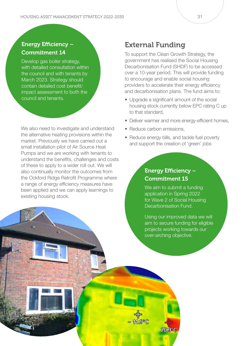#### Energy Efficiency – Commitment 14

Develop gas boiler strategy, with detailed consultation within the council and with tenants by March 2023. Strategy should contain detailed cost benefit/ impact assessment to both the council and tenants.

We also need to investigate and understand the alternative heating provisions within the market. Previously we have carried out a small installation pilot of Air Source Heat Pumps and we are working with tenants to understand the benefits, challenges and costs of these to apply to a wider roll out. We will also continually monitor the outcomes from the Ockford Ridge Retrofit Programme where a range of energy efficiency measures have been applied and we can apply learnings to existing housing stock.

#### External Funding

To support the Clean Growth Strategy, the government has realised the Social Housing Decarbonisation Fund (SHDF) to be accessed over a 10-year period. This will provide funding to encourage and enable social housing providers to accelerate their energy efficiency and decarbonisation plans. The fund aims to:

- Upgrade a significant amount of the social housing stock currently below EPC rating C up to that standard,
- Deliver warmer and more energy-efficient homes,
- Reduce carbon emissions.
- Reduce energy bills, and tackle fuel poverty and support the creation of 'green' jobs

#### Energy Efficiency – Commitment 15

We aim to submit a funding application in Spring 2022 for Wave 2 of Social Housing Decarbonisation Fund.

Using our improved data we will aim to secure funding for eligible projects working towards our over-arching objective.

20.9°C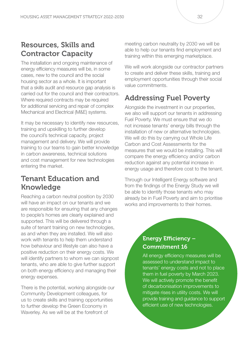#### Resources, Skills and Contractor Capacity

The installation and ongoing maintenance of energy efficiency measures will be, in some cases, new to the council and the social housing sector as a whole. It is important that a skills audit and resource gap analysis is carried out for the council and their contractors. Where required contracts may be required for additional servicing and repair of complex Mechanical and Electrical (M&E) systems.

It may be necessary to identify new resources, training and upskilling to further develop the council's technical capacity, project management and delivery. We will provide training to our teams to gain better knowledge in carbon awareness, technical solutions and cost management for new technologies entering the market.

#### Tenant Education and Knowledge

Reaching a carbon neutral position by 2030 will have an impact on our tenants and we are responsible for ensuring that any changes to people's homes are clearly explained and supported. This will be delivered through a suite of tenant training on new technologies, as and when they are installed. We will also work with tenants to help them understand how behaviour and lifestyle can also have a positive reduction on their energy costs. We will identify partners to whom we can signpost tenants, who are able to give further support on both energy efficiency and managing their energy expenses.

There is the potential, working alongside our Community Development colleagues, for us to create skills and training opportunities to further develop the Green Economy in Waverley. As we will be at the forefront of

meeting carbon neutrality by 2030 we will be able to help our tenants find employment and training within this emerging marketplace.

We will work alongside our contractor partners to create and deliver these skills, training and employment opportunities through their social value commitments.

### Addressing Fuel Poverty

Alongside the investment in our properties, we also will support our tenants in addressing Fuel Poverty. We must ensure that we do not increase tenants' energy bills through the installation of new or alternative technologies. We will do this by carrying out Whole Life Carbon and Cost Assessments for the measures that we would be installing. This will compare the energy efficiency and/or carbon reduction against any potential increase in energy usage and therefore cost to the tenant.

Through our Intelligent Energy software and from the findings of the Energy Study we will be able to identify those tenants who may already be in Fuel Poverty and aim to prioritise works and improvements to their homes.

#### Energy Efficiency – Commitment 16

All energy efficiency measures will be assessed to understand impact to tenants' energy costs and not to place them in fuel poverty by March 2023. We will actively promote the benefit of decarbonisation improvements to mitigate rises in utility costs. We will provide training and guidance to support efficient use of new technologies.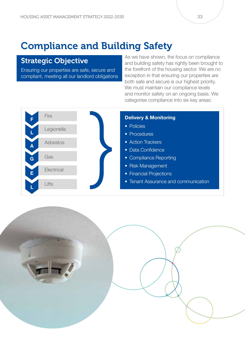### Compliance and Building Safety

#### Strategic Objective

Ensuring our properties are safe, secure and compliant, meeting all our landlord obligations As we have shown, the focus on compliance and building safety has rightly been brought to the forefront of the housing sector. We are no exception in that ensuring our properties are both safe and secure is our highest priority. We must maintain our compliance levels and monitor safety on an ongoing basis. We categorise compliance into six key areas:



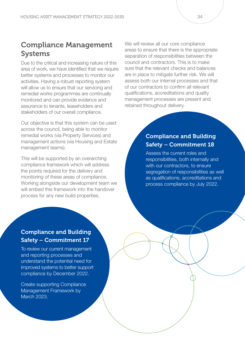#### Compliance Management Systems

Due to the critical and increasing nature of this area of work, we have identified that we require better systems and processes to monitor our activities. Having a robust reporting system will allow us to ensure that our servicing and remedial works programmes are continually monitored and can provide evidence and assurance to tenants, leaseholders and stakeholders of our overall compliance.

Our objective is that this system can be used across the council, being able to monitor remedial works (via Property Services) and management actions (via Housing and Estate management teams).

This will be supported by an overarching compliance framework which will address the points required for the delivery and monitoring of these areas of compliance. Working alongside our development team we will embed this framework into the handover process for any new build properties.

We will review all our core compliance areas to ensure that there is the appropriate separation of responsibilities between the council and contractors. This is to make sure that the relevant checks and balances are in place to mitigate further risk. We will assess both our internal processes and that of our contractors to confirm all relevant qualifications, accreditations and quality management processes are present and retained throughout delivery.

#### Compliance and Building Safety – Commitment 18

Assess the current roles and responsibilities, both internally and with our contractors, to ensure segregation of responsibilities as well as qualifications, accreditations and process compliance by July 2022.

#### Compliance and Building Safety – Commitment 17

To review our current management and reporting processes and understand the potential need for improved systems to better support compliance by December 2022.

Create supporting Compliance Management Framework by March 2023.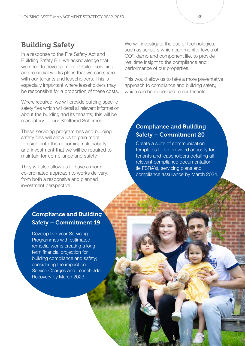#### Building Safety

In a response to the Fire Safety Act and Building Safety Bill, we acknowledge that we need to develop more detailed servicing and remedial works plans that we can share with our tenants and leaseholders. This is especially important where leaseholders may be responsible for a proportion of these costs.

Where required, we will provide building specific safety files which will detail all relevant information about the building and its tenants; this will be mandatory for our Sheltered Schemes.

These servicing programmes and building safety files will allow us to gain more foresight into the upcoming risk, liability and investment that we will be required to maintain for compliance and safety.

They will also allow us to have a more co-ordinated approach to works delivery, from both a responsive and planned investment perspective.

We will investigate the use of technologies, such as sensors which can monitor levels of CO², damp and component life, to provide real time insight to the compliance and performance of our properties.

This would allow us to take a more preventative approach to compliance and building safety, which can be evidenced to our tenants.

#### Compliance and Building Safety – Commitment 20

Create a suite of communication templates to be provided annually for tenants and leaseholders detailing all relevant compliance documentation (ie FSRA's), servicing plans and compliance assurance by March 2024.

#### Compliance and Building Safety – Commitment 19

Develop five-year Servicing Programmes with estimated remedial works creating a longterm financial projection for building compliance and safety; considering the impact on Service Charges and Leaseholder Recovery by March 2023.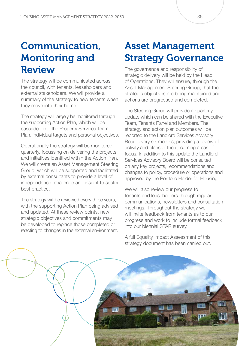## Communication, Monitoring and Review

The strategy will be communicated across the council, with tenants, leaseholders and external stakeholders. We will provide a summary of the strategy to new tenants when they move into their home.

The strategy will largely be monitored through the supporting Action Plan, which will be cascaded into the Property Services Team Plan, individual targets and personal objectives.

Operationally the strategy will be monitored quarterly, focussing on delivering the projects and initiatives identified within the Action Plan. We will create an Asset Management Steering Group, which will be supported and facilitated by external consultants to provide a level of independence, challenge and insight to sector best practice.

The strategy will be reviewed every three years, with the supporting Action Plan being advised and updated. At these review points, new strategic objectives and commitments may be developed to replace those completed or reacting to changes in the external environment.

### Asset Management Strategy Governance

The governance and responsibility of strategic delivery will be held by the Head of Operations. They will ensure, through the Asset Management Steering Group, that the strategic objectives are being maintained and actions are progressed and completed.

The Steering Group will provide a quarterly update which can be shared with the Executive Team, Tenants Panel and Members. The strategy and action plan outcomes will be reported to the Landlord Services Advisory Board every six months; providing a review of activity and plans of the upcoming areas of focus. In addition to this update the Landlord Services Advisory Board will be consulted on any key projects, recommendations and changes to policy, procedure or operations and approved by the Portfolio Holder for Housing.

We will also review our progress to tenants and leaseholders through regular communications, newsletters and consultation meetings. Throughout the strategy we will invite feedback from tenants as to our progress and work to include formal feedback into our biennial STAR survey.

A full Equality Impact Assessment of this strategy document has been carried out.